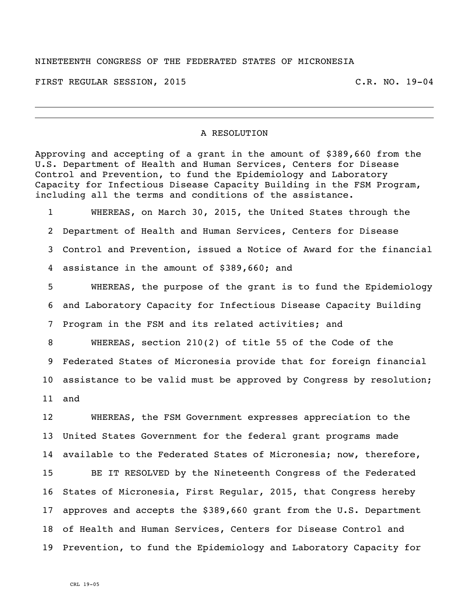## NINETEENTH CONGRESS OF THE FEDERATED STATES OF MICRONESIA

FIRST REGULAR SESSION, 2015 C.R. NO. 19-04

## A RESOLUTION

Approving and accepting of a grant in the amount of \$389,660 from the U.S. Department of Health and Human Services, Centers for Disease Control and Prevention, to fund the Epidemiology and Laboratory Capacity for Infectious Disease Capacity Building in the FSM Program, including all the terms and conditions of the assistance.

 WHEREAS, on March 30, 2015, the United States through the Department of Health and Human Services, Centers for Disease Control and Prevention, issued a Notice of Award for the financial assistance in the amount of \$389,660; and

 WHEREAS, the purpose of the grant is to fund the Epidemiology and Laboratory Capacity for Infectious Disease Capacity Building Program in the FSM and its related activities; and

 WHEREAS, section 210(2) of title 55 of the Code of the Federated States of Micronesia provide that for foreign financial assistance to be valid must be approved by Congress by resolution; and

 WHEREAS, the FSM Government expresses appreciation to the United States Government for the federal grant programs made available to the Federated States of Micronesia; now, therefore, BE IT RESOLVED by the Nineteenth Congress of the Federated States of Micronesia, First Regular, 2015, that Congress hereby approves and accepts the \$389,660 grant from the U.S. Department of Health and Human Services, Centers for Disease Control and Prevention, to fund the Epidemiology and Laboratory Capacity for